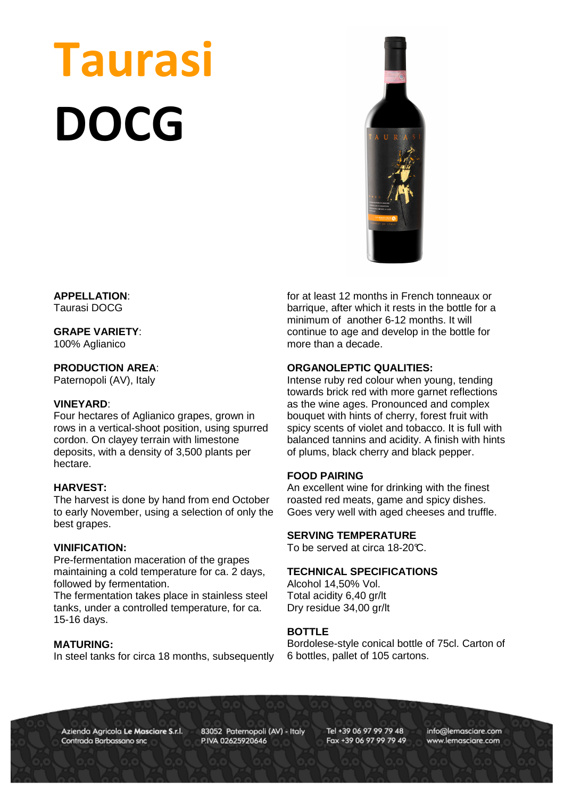# Taurasi DOCG



#### **APPELLATION**: Taurasi DOCG

# **GRAPE VARIETY**:

100% Aglianico

# **PRODUCTION AREA**:

Paternopoli (AV), Italy

#### **VINEYARD**:

Four hectares of Aglianico grapes, grown in rows in a vertical-shoot position, using spurred cordon. On clayey terrain with limestone deposits, with a density of 3,500 plants per hectare.

#### **HARVEST:**

The harvest is done by hand from end October to early November, using a selection of only the best grapes.

#### **VINIFICATION:**

Pre-fermentation maceration of the grapes maintaining a cold temperature for ca. 2 days, followed by fermentation.

The fermentation takes place in stainless steel tanks, under a controlled temperature, for ca. 15-16 days.

#### **MATURING:**

In steel tanks for circa 18 months, subsequently

for at least 12 months in French tonneaux or barrique, after which it rests in the bottle for a minimum of another 6-12 months. It will continue to age and develop in the bottle for more than a decade.

### **ORGANOLEPTIC QUALITIES:**

Intense ruby red colour when young, tending towards brick red with more garnet reflections as the wine ages. Pronounced and complex bouquet with hints of cherry, forest fruit with spicy scents of violet and tobacco. It is full with balanced tannins and acidity. A finish with hints of plums, black cherry and black pepper.

#### **FOOD PAIRING**

An excellent wine for drinking with the finest roasted red meats, game and spicy dishes. Goes very well with aged cheeses and truffle.

#### **SERVING TEMPERATURE**

To be served at circa 18-20°C.

#### **TECHNICAL SPECIFICATIONS**

Alcohol 14,50% Vol. Total acidity 6,40 gr/lt Dry residue 34,00 gr/lt

#### **BOTTLE**

Bordolese-style conical bottle of 75cl. Carton of 6 bottles, pallet of 105 cartons.

Azienda Agricola Le Masciare S.r.l. Contrada Barbassano snc

83052 Paternopoli (AV) - Italy P.IVA 02625920646

Tel +39 06 97 99 79 48 Fax +39 06 97 99 79 49 info@lemasciare.com www.lemasciare.com